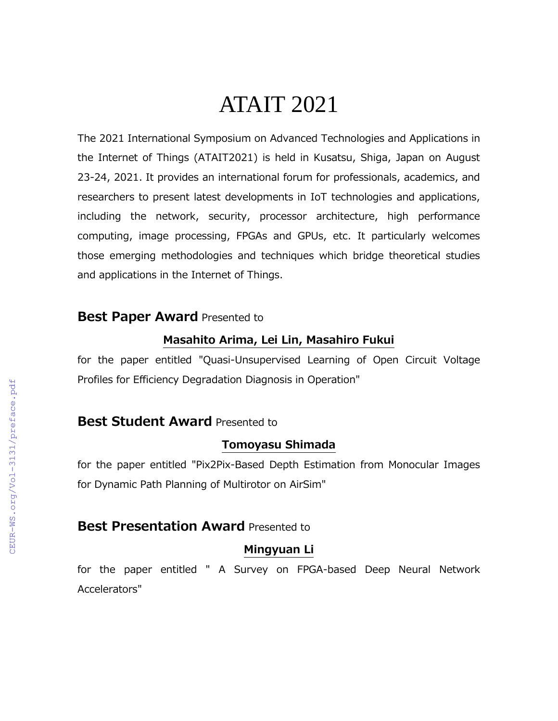# ATAIT 2021

The 2021 International Symposium on Advanced Technologies and Applications in the Internet of Things (ATAIT2021) is held in Kusatsu, Shiga, Japan on August 23-24, 2021. It provides an international forum for professionals, academics, and researchers to present latest developments in IoT technologies and applications, including the network, security, processor architecture, high performance computing, image processing, FPGAs and GPUs, etc. It particularly welcomes those emerging methodologies and techniques which bridge theoretical studies and applications in the Internet of Things.

# **Best Paper Award** Presented to

#### **Masahito Arima, Lei Lin, Masahiro Fukui**

for the paper entitled "Quasi-Unsupervised Learning of Open Circuit Voltage Profiles for Efficiency Degradation Diagnosis in Operation"

# **Best Student Award** Presented to

#### **Tomoyasu Shimada**

for the paper entitled "Pix2Pix-Based Depth Estimation from Monocular Images for Dynamic Path Planning of Multirotor on AirSim"

# **Best Presentation Award** Presented to

#### **Mingyuan Li**

for the paper entitled " A Survey on FPGA-based Deep Neural Network Accelerators"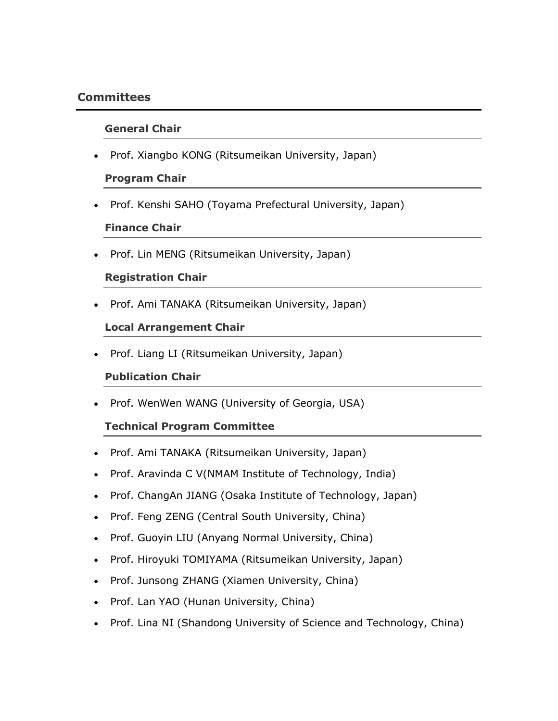# **Committees**

## **General Chair**

• Prof. Xiangbo KONG (Ritsumeikan University, Japan)

## **Program Chair**

• Prof. Kenshi SAHO (Toyama Prefectural University, Japan)

# **Finance Chair**

• Prof. Lin MENG (Ritsumeikan University, Japan)

# **Registration Chair**

• Prof. Ami TANAKA (Ritsumeikan University, Japan)

# **Local Arrangement Chair**

• Prof. Liang LI (Ritsumeikan University, Japan)

# **Publication Chair**

• Prof. WenWen WANG (University of Georgia, USA)

# **Technical Program Committee**

- Prof. Ami TANAKA (Ritsumeikan University, Japan)
- Prof. Aravinda C V(NMAM Institute of Technology, India)
- Prof. ChangAn JIANG (Osaka Institute of Technology, Japan)
- Prof. Feng ZENG (Central South University, China)
- Prof. Guoyin LIU (Anyang Normal University, China)
- Prof. Hiroyuki TOMIYAMA (Ritsumeikan University, Japan)
- Prof. Junsong ZHANG (Xiamen University, China)
- Prof. Lan YAO (Hunan University, China)
- Prof. Lina NI (Shandong University of Science and Technology, China)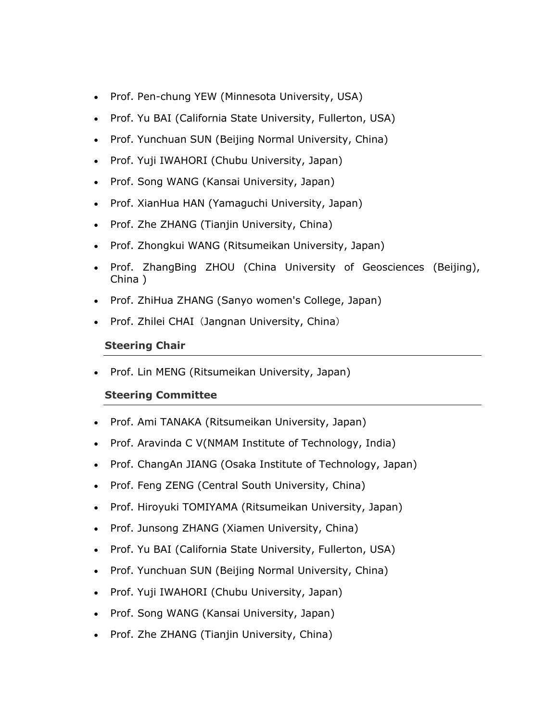- Prof. Pen-chung YEW (Minnesota University, USA)
- Prof. Yu BAI (California State University, Fullerton, USA)
- Prof. Yunchuan SUN (Beijing Normal University, China)
- Prof. Yuji IWAHORI (Chubu University, Japan)
- Prof. Song WANG (Kansai University, Japan)
- Prof. XianHua HAN (Yamaguchi University, Japan)
- Prof. Zhe ZHANG (Tianjin University, China)
- Prof. Zhongkui WANG (Ritsumeikan University, Japan)
- Prof. ZhangBing ZHOU (China University of Geosciences (Beijing), China )
- Prof. ZhiHua ZHANG (Sanyo women's College, Japan)
- Prof. Zhilei CHAI (Jangnan University, China)

# **Steering Chair**

• Prof. Lin MENG (Ritsumeikan University, Japan)

# **Steering Committee**

- Prof. Ami TANAKA (Ritsumeikan University, Japan)
- Prof. Aravinda C V(NMAM Institute of Technology, India)
- Prof. ChangAn JIANG (Osaka Institute of Technology, Japan)
- Prof. Feng ZENG (Central South University, China)
- Prof. Hiroyuki TOMIYAMA (Ritsumeikan University, Japan)
- Prof. Junsong ZHANG (Xiamen University, China)
- Prof. Yu BAI (California State University, Fullerton, USA)
- Prof. Yunchuan SUN (Beijing Normal University, China)
- Prof. Yuji IWAHORI (Chubu University, Japan)
- Prof. Song WANG (Kansai University, Japan)
- Prof. Zhe ZHANG (Tianjin University, China)